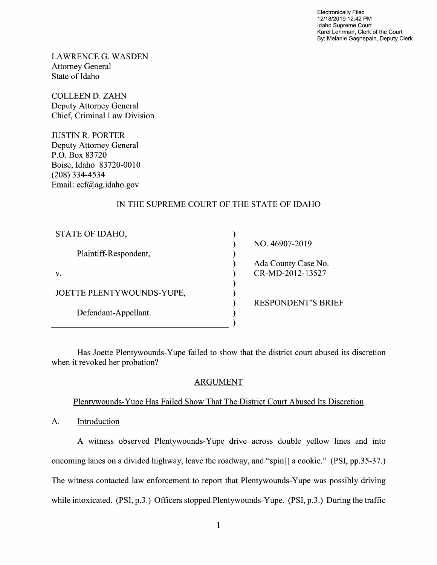Electronically Filed 12/18/2019 12:42 PM Idaho Supreme Court Karel Lehrman, Clerk of the Court By: Melanie Gagnepain, Deputy Clerk

LAWRENCE G.WASDEN Attorney General State 0f Idaho

COLLEEN D. ZAHN Deputy Attorney General Chief, Criminal Law Division

JUSTIN R. PORTER Deputy Attorney General P.O. BOX 83720 Boise, Idaho 83720-0010 (208) 334-4534 Email: ecf@ag.idaho.gov

# IN THE SUPREME COURT OF THE STATE OF IDAHO

| STATE OF IDAHO,           |
|---------------------------|
| Plaintiff-Respondent,     |
| $V_{\star}$               |
| JOETTE PLENTYWOUNDS-YUPE, |
| Defendant-Appellant.      |

NO. 46907-20 Ada County Case No. CR-MD-2012-13527

RESPONDENT'S BRIEF

Has Joette Plentywounds-Yupe failed to show that the district court abused its discretion when it revoked her probation?

vvvvvvvvvv

 $\mathcal{E}$ í

 $\mathcal{E}$  $\lambda$  $\mathcal{E}$ ſ

## ARGUMENT

## Plentywounds-Yupe Has Failed Show That The District Court Abused Its Discretion

A. Introduction

A witness observed Plentywounds-Yupe drive across double yellow lines and into oncoming lanes on a divided highway, leave the roadway, and "spin<sup>[]</sup> a cookie." (PSI, pp.35-37.) The witness contacted law enforcement to report that Plentywounds-Yupe was possibly driving while intoxicated. (PSI, p.3.) Officers stopped Plentywounds-Yupe. (PSI, p.3.) During the traffic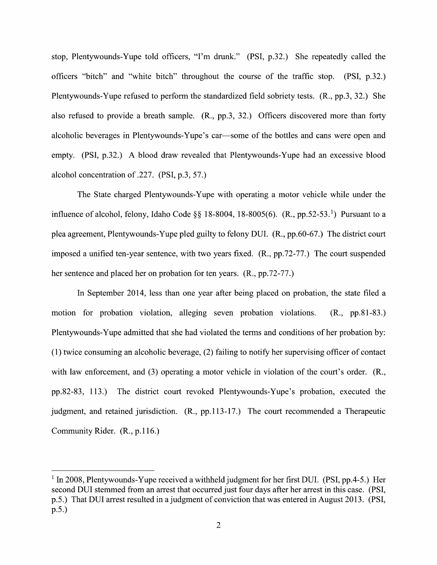stop, Plentywounds-Yupe told officers, "I'm drunk." (PSI, p.32.) She repeatedly called the officers "bitch" and "White bitch" throughout the course of the traffic stop. (PSI, p.32.) Plentywounds-Yupe refused t0 perform the standardized field sobriety tests. (R., pp.3, 32.) She also refused to provide a breath sample.  $(R., pp.3, 32.)$  Officers discovered more than forty alcoholic beverages in Plentywounds-Yupe's car—some of the bottles and cans were open and empty. (PSI, p.32.) A blood draw revealed that Plentywounds-Yupe had an excessive blood alcohol concentration 0f .227. (PSI, p.3, 57.)

The State charged Plentywounds-Yupe with operating a motor vehicle while under the influence of alcohol, felony, Idaho Code §§ 18-8004, 18-8005(6).  $(R., pp.52-53.^1)$  Pursuant to a plea agreement, Plentywounds-Yupe pled guilty to felony DUI. (R., pp.60-67.) The district court imposed a unified ten-year sentence, with two years fixed. (R., pp.72-77.) The court suspended her sentence and placed her on probation for ten years. (R., pp.72-77.)

In September 2014, less than one year after being placed on probation, the state filed a motion for probation violation, alleging seven probation violations. (R., pp.81-83.) Plentywounds-Yupe admitted that she had violated the terms and conditions of her probation by:  $(1)$  twice consuming an alcoholic beverage,  $(2)$  failing to notify her supervising officer of contact with law enforcement, and  $(3)$  operating a motor vehicle in violation of the court's order.  $(R_{n})$ pp.82-83, 113.) The district court revoked Plentywounds-Yupe's probation, executed the judgment, and retained jurisdiction. (R., pp.113-17.) The court recommended a Therapeutic Community Rider. (R., p.1 16.)

 $1$  In 2008, Plentywounds-Yupe received a withheld judgment for her first DUI. (PSI, pp.4-5.) Her second DUI stemmed from an arrest that occurred just four days after her arrest in this case. (PSI, p.5.) That DUI arrest resulted in a judgment of conviction that was entered in August 2013. (PSI, p.5.)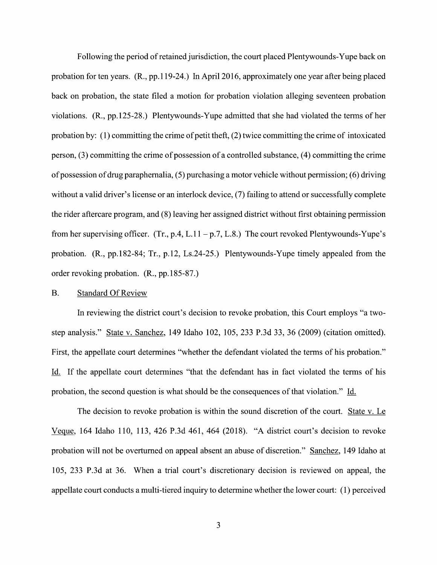Following the period of retained jurisdiction, the court placed Plentywounds-Yupe back on probation for ten years. (R., pp.119-24.) In April 2016, approximately one year after being placed back on probation, the state filed a motion for probation violation alleging seventeen probation Violations. (R., pp.125-28.) Plentywounds-Yupe admitted that she had violated the terms of her probation by: (1) committing the crime of petit theft,  $(2)$  twice committing the crime of intoxicated person,  $(3)$  committing the crime of possession of a controlled substance,  $(4)$  committing the crime of possession of drug paraphernalia, (5) purchasing a motor vehicle without permission; (6) driving without a valid driver's license or an interlock device, (7) failing to attend or successfully complete the rider aftercare program, and (8) leaving her assigned district Without first obtaining permission from her supervising officer. (Tr., p.4, L.11 – p.7, L.8.) The court revoked Plentywounds-Yupe's probation.  $(R., pp.182-84; Tr., p.12, Ls.24-25.)$  Plentywounds-Yupe timely appealed from the order revoking probation. (R., pp. 185-87.)

#### B. Standard Of Review

In reviewing the district court's decision to revoke probation, this Court employs "a twostep analysis." State V. Sanchez, 149 Idaho 102, 105, 233 P.3d 33, 36 (2009) (citation omitted). First, the appellate court determines "whether the defendant violated the terms of his probation." Id. If the appellate court determines "that the defendant has in fact violated the terms of his probation, the second question is what should be the consequences of that violation." Id.

The decision to revoke probation is within the sound discretion of the court. State v. Le mic, <sup>164</sup> Idaho 110, 113, <sup>426</sup> P.3d 461, <sup>464</sup> (2018). "A district court's decision t0 revoke probation will not be overturned on appeal absent an abuse of discretion." Sanchez, 149 Idaho at 105, 233 P.3d at 36. When a trial court's discretionary decision is reviewed on appeal, the appellate court conducts a multi-tiered inquiry to determine whether the lower court:  $(1)$  perceived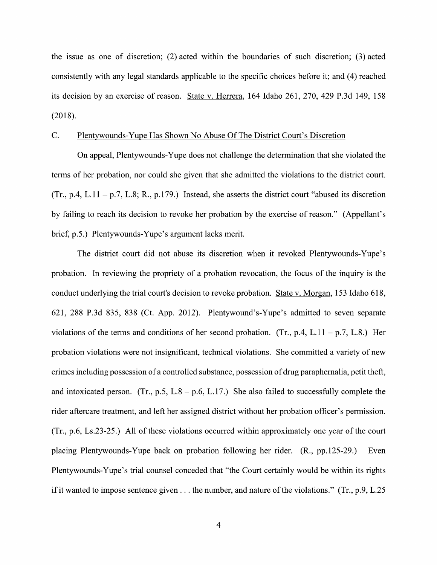the issue as one of discretion; (2) acted within the boundaries 0f such discretion; (3) acted consistently with any legal standards applicable to the specific choices before it; and (4) reached its decision by an exercise 0f reason. State V. Herrera, 164 Idaho 261, 270, 429 P.3d 149, 158 (2018).

### C. Plentywounds-Yupe Has Shown No Abuse Of The District Court's Discretion

On appeal, Plentywounds-Yupe does not challenge the determination that she violated the terms of her probation, nor could she given that she admitted the violations to the district court.  $(Tr, p.4, L.11 - p.7, L.8; R., p.179.)$  Instead, she asserts the district court "abused its discretion" by failing to reach its decision to revoke her probation by the exercise 0f reason." (Appellant's brief, p.5.) Plentywounds-Yupe's argument lacks merit.

The district court did not abuse its discretion when it revoked Plentywounds-Yupe's probation. In reviewing the propriety of a probation revocation, the focus of the inquiry is the conduct underlying the trial court's decision to revoke probation. State v. Morgan, 153 Idaho 618, 621, 288 P.3d 835, 838 (Ct. App. 2012). Plentywound's-Yupe's admitted t0 seven separate violations of the terms and conditions of her second probation. (Tr., p.4, L.11 – p.7, L.8.) Her probation violations were not insignificant, technical violations. She committed a variety of new crimes including possession of a controlled substance, possession of drug paraphernalia, petit theft, and intoxicated person. (Tr., p.5, L.8 – p.6, L.17.) She also failed to successfully complete the rider aftercare treatment, and left her assigned district without her probation officer's permission.  $(Tr, p.6, Ls.23-25.)$  All of these violations occurred within approximately one year of the court placing Plentywounds-Yupe back on probation following her rider. (R., pp.125-29.) Even Plentywounds-Yupe's trial counsel conceded that "the Court certainly would be within its rights if it wanted to impose sentence given  $\dots$  the number, and nature of the violations." (Tr., p.9, L.25)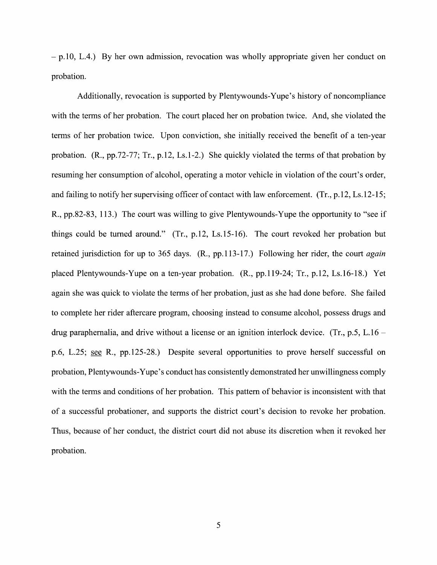p.10, L.4.) By her own admission, revocation was wholly appropriate given her conduct on probation.

Additionally, revocation is supported by Plentywounds-Yupe's history of noncompliance with the terms of her probation. The court placed her on probation twice. And, she violated the terms of her probation twice. Upon conviction, she initially received the benefit of a ten-year probation. (R., pp.72-77; Tr., p.12, Ls.1-2.) She quickly violated the terms of that probation by resuming her consumption of alcohol, operating a motor vehicle in violation of the court's order, and failing to notify her supervising officer of contact with law enforcement. (Tr., p.12, Ls.12-15; R., pp.82-83, 113.) The court was willing to give Plentywounds-Yupe the opportunity to "see if things could be turned around."  $(Tr, p.12, Ls.15-16)$ . The court revoked her probation but retained jurisdiction for up to 365 days. (R., pp.113-17.) Following her rider, the court *again* placed Plentywounds-Yupe on a ten-year probation.  $(R., pp.119-24; Tr., p.12, Ls.16-18.)$  Yet again she was quick to Violate the terms 0f her probation, just as she had done before. She failed to complete her rider aftercare program, choosing instead to consume alcohol, possess drugs and drug paraphernalia, and drive without a license or an ignition interlock device. (Tr., p.5, L.16 – p.6, L.25; see R., pp.125-28.) Despite several opportunities to prove herself successful on probation, Plentywounds-Yupe's conduct has consistently demonstrated her unwillingness comply with the terms and conditions of her probation. This pattern of behavior is inconsistent with that of a successful probationer, and supports the district court's decision to revoke her probation. Thus, because of her conduct, the district court did not abuse its discretion When it revoked her probation.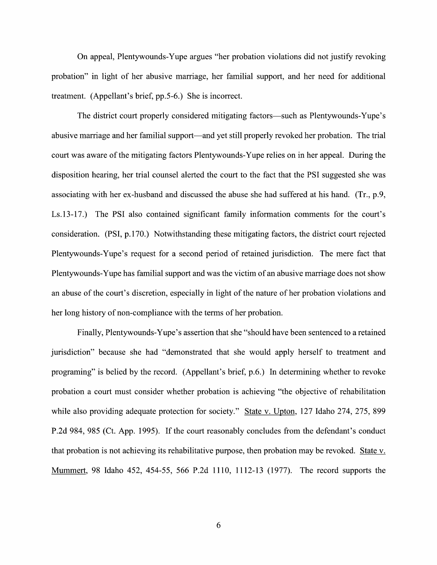On appeal, Plentywounds-Yupe argues "her probation Violations did not justify revoking probation" in light of her abusive marriage, her familial support, and her need for additional treatment. (Appellant's brief, pp.5-6.) She is incorrect.

The district court properly considered mitigating factors—such as Plentywounds-Yupe's abusive marriage and her familial support—and yet still properly revoked her probation. The trial court was aware of the mitigating factors Plentywounds-Yupe relies on in her appeal. During the disposition hearing, her trial counsel alerted the court to the fact that the PSI suggested she was associating with her ex-husband and discussed the abuse she had suffered at his hand. (Tr., p.9, Ls.13-17.) The PSI also contained significant family information comments for the court's consideration. (PSI, p.170.) Notwithstanding these mitigating factors, the district court rejected Plentywounds-Yupe's request for a second period of retained jurisdiction. The mere fact that<br>Plentywounds-Yupe has familial support and was the victim of an abusive marriage does not show an abuse of the court's discretion, especially in light of the nature of her probation violations and her long history of non-compliance with the terms of her probation.

Finally, Plentywounds-Yupe's assertion that she "should have been sentenced to a retained jurisdiction" because she had "demonstrated that she would apply herself to treatment and programing" is belied by the record. (Appellant's brief, p.6.) In determining Whether to revoke probation a court must consider whether probation is achieving "the objective of rehabilitation while also providing adequate protection for society." State v. Upton, 127 Idaho 274, 275, 899 P.2d 984, 985 (Ct. App. 1995). If the court reasonably concludes from the defendant's conduct that probation is not achieving its rehabilitative purpose, then probation may be revoked. Mummert, 98 Idaho 452, 454-55, 566 P.2d 1110, 1112-13 (1977). The record supports the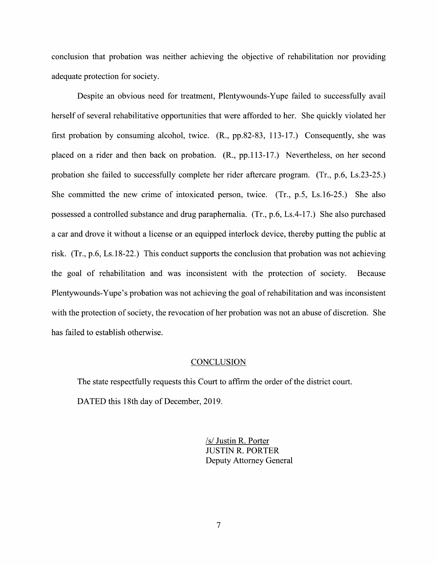conclusion that probation was neither achieving the objective of rehabilitation nor providing adequate protection for society.

Despite an obvious need for treatment, Plentywounds-Yupe failed to successfully avail herself of several rehabilitative opportunities that were afforded to her. She quickly violated her first probation by consuming alcohol, twice. (R., pp.82-83, 113-17.) Consequently, she was placed on a rider and then back on probation. (R., pp.113-17.) Nevertheless, on her second probation she failed to successfully complete her rider aftercare program. (Tr., p.6, Ls.23-25.) She committed the new crime of intoxicated person, twice.  $(Tr, p.5, Ls.16-25)$  She also possessed a controlled substance and drug paraphernalia.  $(Tr, p.6, Ls.4-17)$ . She also purchased a car and drove it without a license or an equipped interlock device, thereby putting the public at risk.  $(Tr, p.6, Ls.18-22)$  This conduct supports the conclusion that probation was not achieving the goal of rehabilitation and was inconsistent With the protection of society. Because Plentywounds-Yupe's probation was not achieving the goal of rehabilitation and was inconsistent with the protection of society, the revocation of her probation was not an abuse of discretion. She has failed to establish otherwise.

#### **CONCLUSION**

The state respectfully requests this Court to affirm the order 0f the district court. DATED this 18th day of December, 2019.

> /s/ Justin R. Porter JUSTIN R. PORTER Deputy Attorney General